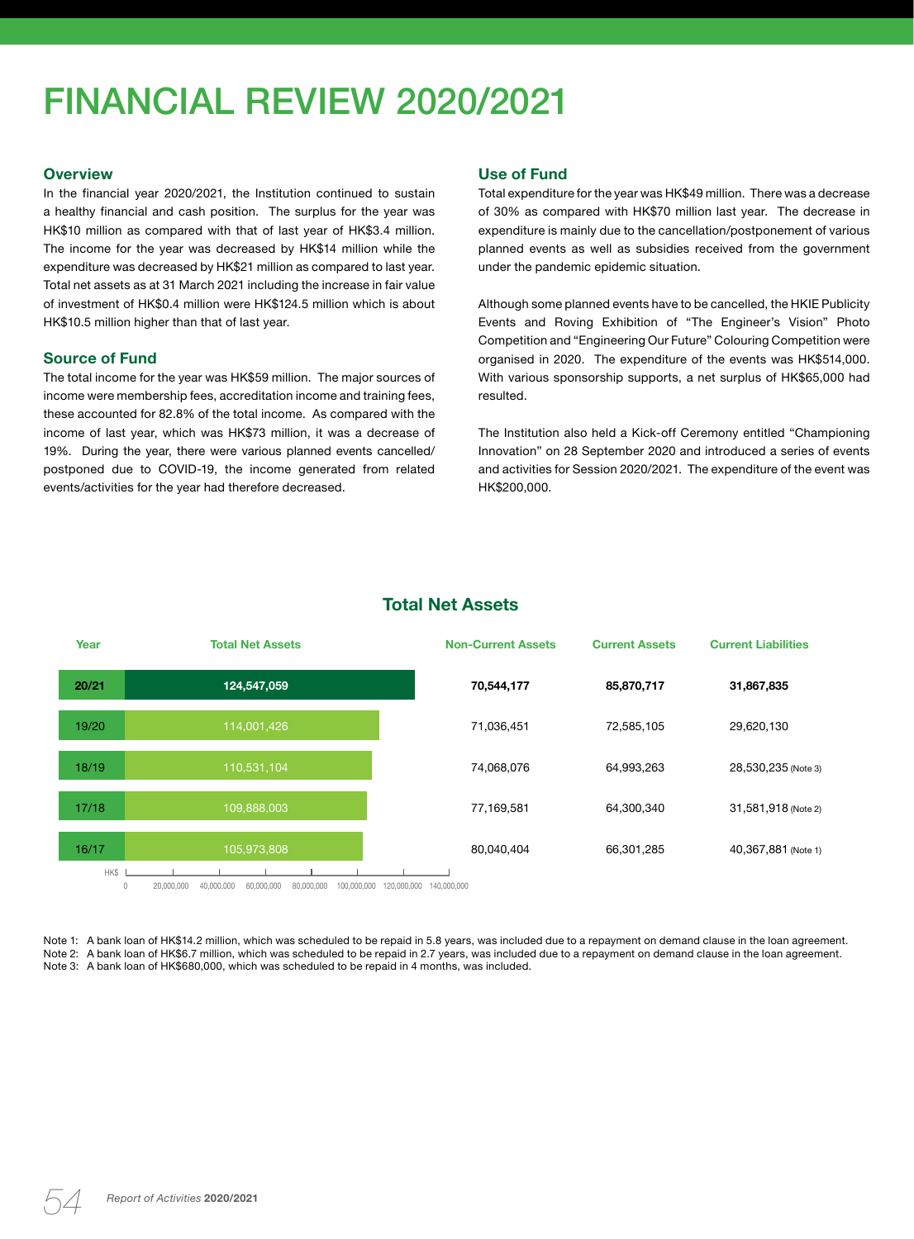# FINANCIAL REVIEW 2020/2021

#### **Overview**

In the financial year 2020/2021, the Institution continued to sustain a healthy financial and cash position. The surplus for the year was HK\$10 million as compared with that of last year of HK\$3.4 million. The income for the year was decreased by HK\$14 million while the expenditure was decreased by HK\$21 million as compared to last year. Total net assets as at 31 March 2021 including the increase in fair value of investment of HK\$0.4 million were HK\$124.5 million which is about HK\$10.5 million higher than that of last year.

### **Source of Fund**

The total income for the year was HK\$59 million. The major sources of income were membership fees, accreditation income and training fees, these accounted for 82.8% of the total income. As compared with the income of last year, which was HK\$73 million, it was a decrease of 19%. During the year, there were various planned events cancelled/ postponed due to COVID-19, the income generated from related events/activities for the year had therefore decreased.

## **Use of Fund**

Total expenditure for the year was HK\$49 million. There was a decrease of 30% as compared with HK\$70 million last year. The decrease in expenditure is mainly due to the cancellation/postponement of various planned events as well as subsidies received from the government under the pandemic epidemic situation.

Although some planned events have to be cancelled, the HKIE Publicity Events and Roving Exhibition of "The Engineer's Vision" Photo Competition and "Engineering Our Future" Colouring Competition were organised in 2020. The expenditure of the events was HK\$514,000. With various sponsorship supports, a net surplus of HK\$65,000 had resulted.

The Institution also held a Kick-off Ceremony entitled "Championing Innovation" on 28 September 2020 and introduced a series of events and activities for Session 2020/2021. The expenditure of the event was HK\$200,000.



# **Total Net Assets**

Note 1: A bank loan of HK\$14.2 million, which was scheduled to be repaid in 5.8 years, was included due to a repayment on demand clause in the loan agreement. Note 2: A bank loan of HK\$6.7 million, which was scheduled to be repaid in 2.7 years, was included due to a repayment on demand clause in the loan agreement. Note 3: A bank loan of HK\$680,000, which was scheduled to be repaid in 4 months, was included.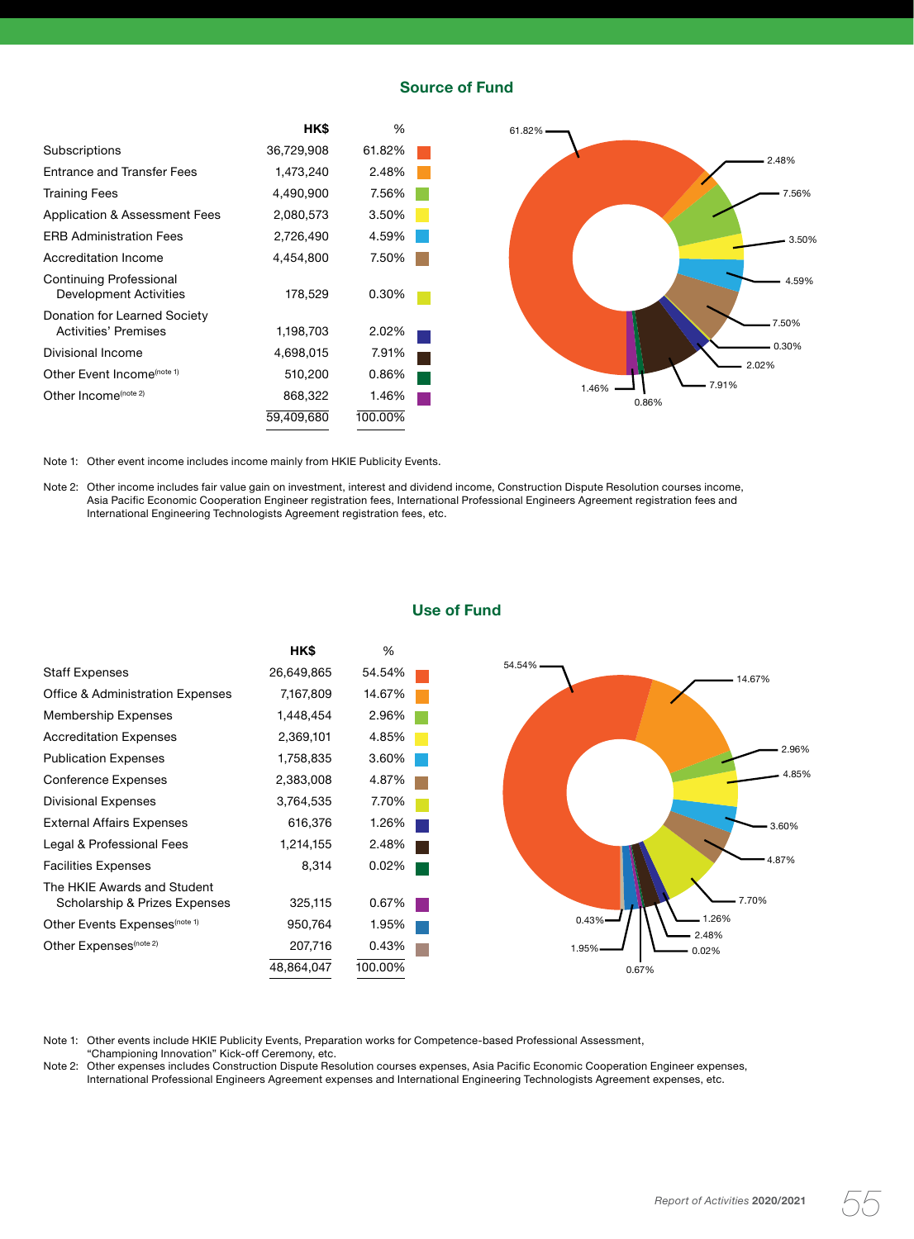### **Source of Fund**



Note 1: Other event income includes income mainly from HKIE Publicity Events.

Note 2: Other income includes fair value gain on investment, interest and dividend income, Construction Dispute Resolution courses income, Asia Pacific Economic Cooperation Engineer registration fees, International Professional Engineers Agreement registration fees and International Engineering Technologists Agreement registration fees, etc.



## **Use of Fund**

Note 1: Other events include HKIE Publicity Events, Preparation works for Competence-based Professional Assessment, "Championing Innovation" Kick-off Ceremony, etc.

Note 2: Other expenses includes Construction Dispute Resolution courses expenses, Asia Pacific Economic Cooperation Engineer expenses, International Professional Engineers Agreement expenses and International Engineering Technologists Agreement expenses, etc.